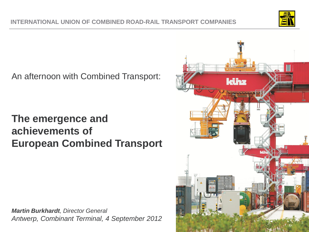

An afternoon with Combined Transport:

## **The emergence and achievements of European Combined Transport**

*Martin Burkhardt, Director General Antwerp, Combinant Terminal, 4 September 2012*

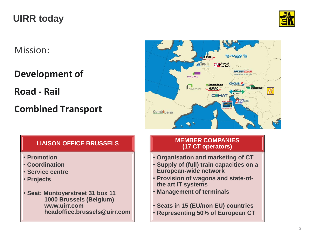

Mission:

**Development of** 

**Road - Rail** 

## **Combined Transport**



### **LIAISON OFFICE BRUSSELS**

- **Promotion**
- **Coordination**
- **Service centre**
- **Projects**
- **Seat: Montoyerstreet 31 box 11 1000 Brussels (Belgium) www.uirr.com headoffice.brussels@uirr.com**

#### **MEMBER COMPANIES (17 CT operators)**

- **Organisation and marketing of CT**
- **Supply of (full) train capacities on a European-wide network**
- **Provision of wagons and state-ofthe art IT systems**
- **Management of terminals**
- **Seats in 15 (EU/non EU) countries** • **Representing 50% of European CT**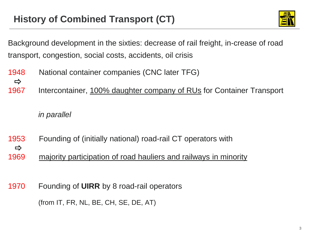

Background development in the sixties: decrease of rail freight, in-crease of road transport, congestion, social costs, accidents, oil crisis

- 1948 National container companies (CNC later TFG)
- $\Rightarrow$
- 1967 Intercontainer, 100% daughter company of RUs for Container Transport

*in parallel*

- 1953 Founding of (initially national) road-rail CT operators with  $\Rightarrow$
- 1969 majority participation of road hauliers and railways in minority
- 1970 Founding of **UIRR** by 8 road-rail operators

(from IT, FR, NL, BE, CH, SE, DE, AT)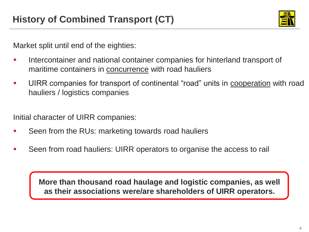

Market split until end of the eighties:

- Intercontainer and national container companies for hinterland transport of maritime containers in concurrence with road hauliers
- UIRR companies for transport of continental "road" units in cooperation with road hauliers / logistics companies

Initial character of UIRR companies:

- Seen from the RUs: marketing towards road hauliers
- Seen from road hauliers: UIRR operators to organise the access to rail

**More than thousand road haulage and logistic companies, as well as their associations were/are shareholders of UIRR operators.**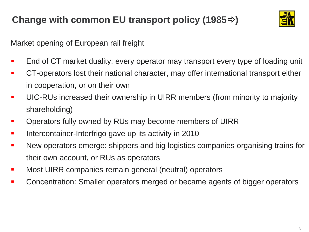

Market opening of European rail freight

- End of CT market duality: every operator may transport every type of loading unit
- CT-operators lost their national character, may offer international transport either in cooperation, or on their own
- UIC-RUs increased their ownership in UIRR members (from minority to majority shareholding)
- Operators fully owned by RUs may become members of UIRR
- **Intercontainer-Interfrigo gave up its activity in 2010**
- New operators emerge: shippers and big logistics companies organising trains for their own account, or RUs as operators
- **Most UIRR companies remain general (neutral) operators**
- Concentration: Smaller operators merged or became agents of bigger operators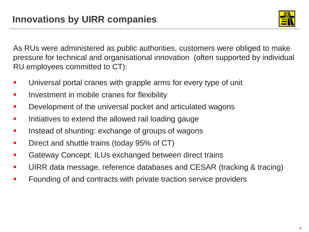

As RUs were administered as public authorities, customers were obliged to make pressure for technical and organisational innovation (often supported by individual RU employees committed to CT):

- Universal portal cranes with grapple arms for every type of unit
- **If the lest in solution in mobile cranes for flexibility**
- **Development of the universal pocket and articulated wagons**
- Initiatives to extend the allowed rail loading gauge
- **If** Instead of shunting: exchange of groups of wagons
- **Direct and shuttle trains (today 95% of CT)**
- **EXEC** Gateway Concept: ILUs exchanged between direct trains
- **UIRR data message, reference databases and CESAR (tracking & tracing)**
- **Founding of and contracts with private traction service providers**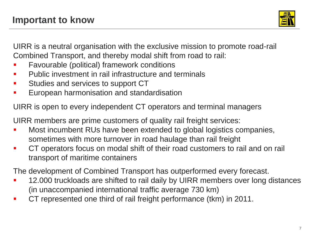

UIRR is a neutral organisation with the exclusive mission to promote road-rail Combined Transport, and thereby modal shift from road to rail:

- Favourable (political) framework conditions
- Public investment in rail infrastructure and terminals
- **Studies and services to support CT**
- **European harmonisation and standardisation**

UIRR is open to every independent CT operators and terminal managers

UIRR members are prime customers of quality rail freight services:

- Most incumbent RUs have been extended to global logistics companies, sometimes with more turnover in road haulage than rail freight
- **CT** operators focus on modal shift of their road customers to rail and on rail transport of maritime containers

The development of Combined Transport has outperformed every forecast.

- 12.000 truckloads are shifted to rail daily by UIRR members over long distances (in unaccompanied international traffic average 730 km)
- CT represented one third of rail freight performance (tkm) in 2011.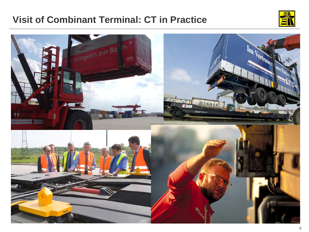### **Visit of Combinant Terminal: CT in Practice**